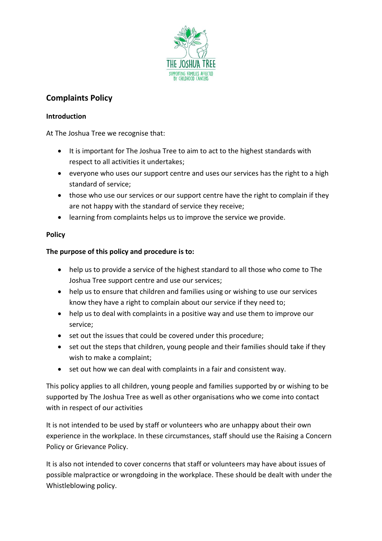

# **Complaints Policy**

#### **Introduction**

At The Joshua Tree we recognise that:

- It is important for The Joshua Tree to aim to act to the highest standards with respect to all activities it undertakes;
- everyone who uses our support centre and uses our services has the right to a high standard of service;
- those who use our services or our support centre have the right to complain if they are not happy with the standard of service they receive;
- learning from complaints helps us to improve the service we provide.

### **Policy**

## **The purpose of this policy and procedure is to:**

- help us to provide a service of the highest standard to all those who come to The Joshua Tree support centre and use our services;
- help us to ensure that children and families using or wishing to use our services know they have a right to complain about our service if they need to;
- help us to deal with complaints in a positive way and use them to improve our service;
- set out the issues that could be covered under this procedure;
- set out the steps that children, young people and their families should take if they wish to make a complaint;
- set out how we can deal with complaints in a fair and consistent way.

This policy applies to all children, young people and families supported by or wishing to be supported by The Joshua Tree as well as other organisations who we come into contact with in respect of our activities

It is not intended to be used by staff or volunteers who are unhappy about their own experience in the workplace. In these circumstances, staff should use the Raising a Concern Policy or Grievance Policy.

It is also not intended to cover concerns that staff or volunteers may have about issues of possible malpractice or wrongdoing in the workplace. These should be dealt with under the Whistleblowing policy.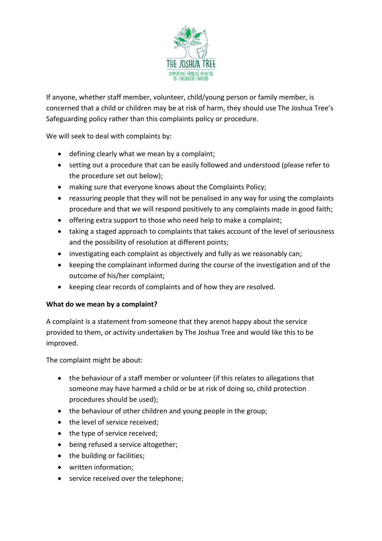

If anyone, whether staff member, volunteer, child/young person or family member, is concerned that a child or children may be at risk of harm, they should use The Joshua Tree's Safeguarding policy rather than this complaints policy or procedure.

We will seek to deal with complaints by:

- defining clearly what we mean by a complaint;
- setting out a procedure that can be easily followed and understood (please refer to the procedure set out below);
- making sure that everyone knows about the Complaints Policy;
- reassuring people that they will not be penalised in any way for using the complaints procedure and that we will respond positively to any complaints made in good faith;
- offering extra support to those who need help to make a complaint;
- taking a staged approach to complaints that takes account of the level of seriousness and the possibility of resolution at different points;
- investigating each complaint as objectively and fully as we reasonably can;
- keeping the complainant informed during the course of the investigation and of the outcome of his/her complaint;
- keeping clear records of complaints and of how they are resolved.

### **What do we mean by a complaint?**

A complaint is a statement from someone that they arenot happy about the service provided to them, or activity undertaken by The Joshua Tree and would like this to be improved.

The complaint might be about:

- the behaviour of a staff member or volunteer (if this relates to allegations that someone may have harmed a child or be at risk of doing so, child protection procedures should be used);
- the behaviour of other children and young people in the group;
- the level of service received:
- the type of service received;
- being refused a service altogether;
- the building or facilities:
- written information;
- service received over the telephone;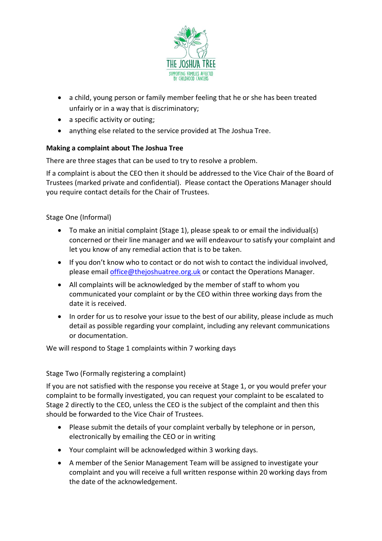

- a child, young person or family member feeling that he or she has been treated unfairly or in a way that is discriminatory;
- a specific activity or outing;
- anything else related to the service provided at The Joshua Tree.

### **Making a complaint about The Joshua Tree**

There are three stages that can be used to try to resolve a problem.

If a complaint is about the CEO then it should be addressed to the Vice Chair of the Board of Trustees (marked private and confidential). Please contact the Operations Manager should you require contact details for the Chair of Trustees.

Stage One (Informal)

- To make an initial complaint (Stage 1), please speak to or email the individual(s) concerned or their line manager and we will endeavour to satisfy your complaint and let you know of any remedial action that is to be taken.
- If you don't know who to contact or do not wish to contact the individual involved, please emai[l office@thejoshuatree.org.uk](mailto:office@thejoshuatree.org.uk) or contact the Operations Manager.
- All complaints will be acknowledged by the member of staff to whom you communicated your complaint or by the CEO within three working days from the date it is received.
- In order for us to resolve your issue to the best of our ability, please include as much detail as possible regarding your complaint, including any relevant communications or documentation.

We will respond to Stage 1 complaints within 7 working days

### Stage Two (Formally registering a complaint)

If you are not satisfied with the response you receive at Stage 1, or you would prefer your complaint to be formally investigated, you can request your complaint to be escalated to Stage 2 directly to the CEO, unless the CEO is the subject of the complaint and then this should be forwarded to the Vice Chair of Trustees.

- Please submit the details of your complaint verbally by telephone or in person, electronically by emailing the CEO or in writing
- Your complaint will be acknowledged within 3 working days.
- A member of the Senior Management Team will be assigned to investigate your complaint and you will receive a full written response within 20 working days from the date of the acknowledgement.